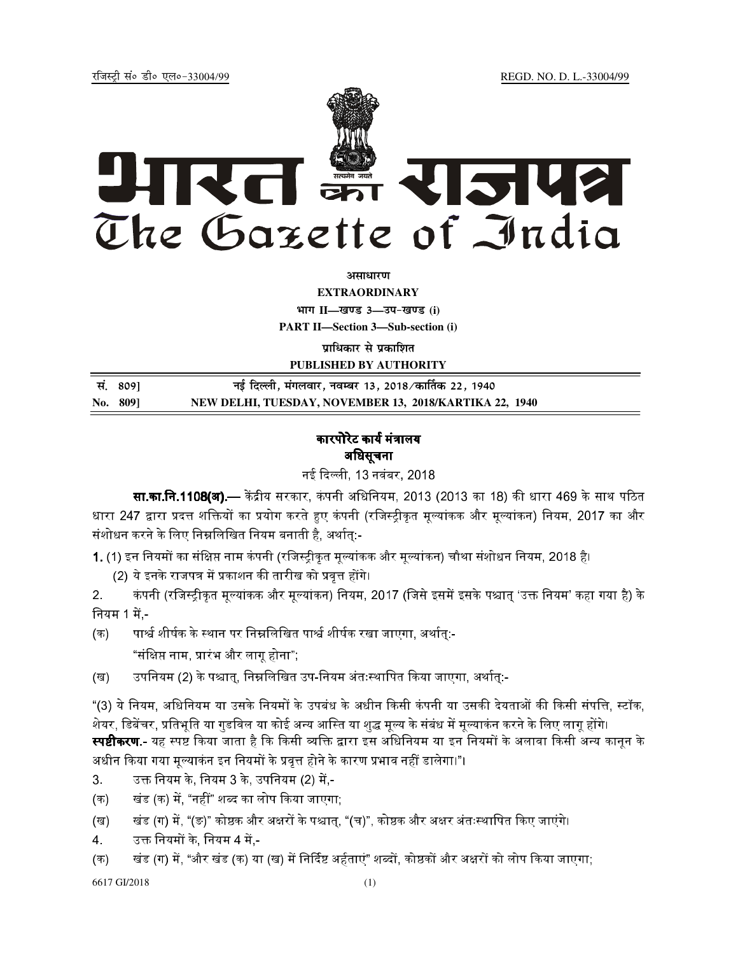REGD. NO. D. L.-33004/99

रजिस्टी सं० डी० एल०-33004/99



अमाधारण

**EXTRAORDINARY** भाग II-खण्ड 3-उप-खण्ड (i)

**PART II-Section 3-Sub-section (i)** 

प्राधिकार से प्रकाशित

PUBLISHED BY AUTHORITY

| सं. 8091 | नई दिल्ली, मंगलवार, नवम्बर 13, 2018 ⁄ कार्तिक 22, 1940 |
|----------|--------------------------------------------------------|
| No. 809] | NEW DELHI, TUESDAY, NOVEMBER 13, 2018/KARTIKA 22, 1940 |

## कारपोरेट कार्य मंत्रालय अधिसूचना

नई दिल्ली, 13 नवंबर, 2018

सा.का.नि.1108(अ).— केंद्रीय सरकार, कंपनी अधिनियम, 2013 (2013 का 18) की धारा 469 के साथ पठित धारा 247 द्वारा प्रदत्त शक्तियों का प्रयोग करते हुए कंपनी (रजिस्ट्रीकृत मूल्यांकक और मूल्यांकन) नियम, 2017 का और संशोधन करने के लिए निम्नलिखित नियम बनाती है, अर्थात्:-

1. (1) इन नियमों का संक्षिप्त नाम कंपनी (रजिस्ट्रीकृत मूल्यांकक और मूल्यांकन) चौथा संशोधन नियम, 2018 है।

(2) ये इनके राजपत्र में प्रकाशन की तारीख को प्रवृत्त होंगे।

कंपनी (रजिस्ट्रीकृत मूल्यांकक और मूल्यांकन) नियम, 2017 (जिसे इसमें इसके पश्चात् 'उक्त नियम' कहा गया है) के  $2<sub>1</sub>$ नियम 1 में -

पार्श्व शीर्षक के स्थान पर निम्नलिखित पार्श्व शीर्षक रखा जाएगा, अर्थात:- $($ क) "संक्षिप्त नाम, प्रारंभ और लागू होना";

उपनियम (2) के पश्चात्, निम्नलिखित उप-नियम अंतःस्थापित किया जाएगा, अर्थात्:-(ख)

"(3) ये नियम, अधिनियम या उसके नियमों के उपबंध के अधीन किसी कंपनी या उसकी देयताओं की किसी संपत्ति, स्टॉक, शेयर, डिबेंचर, प्रतिभूति या गुडविल या कोई अन्य आस्ति या शुद्ध मूल्य के संबंध में मूल्याकंन करने के लिए लागू होंगे। **स्पष्टीकरण** - यह स्पष्ट किया जाता है कि किसी व्यक्ति द्वारा इस अधिनियम या इन नियमों के अलावा किसी अन्य कानन के अधीन किया गया मृल्याकंन इन नियमों के प्रवृत्त होने के कारण प्रभाव नहीं डालेगा।"।

उक्त नियम के, नियम 3 के, उपनियम (2) में,-3.

खंड (क) में. "नहीं" शब्द का लोप किया जाएगा:  $($ क)

खंड (ग) में, "(ङ)" कोष्ठक और अक्षरों के पश्चात्, "(च)", कोष्ठक और अक्षर अंतःस्थापित किए जाएंगे। (ख)

 $\overline{4}$ उक्त नियमों के. नियम 4 में -

खंड (ग) में, "और खंड (क) या (ख) में निर्दिष्ट अर्हताएं" शब्दों, कोष्ठकों और अक्षरों को लोप किया जाएगा; (क)

6617 GI/2018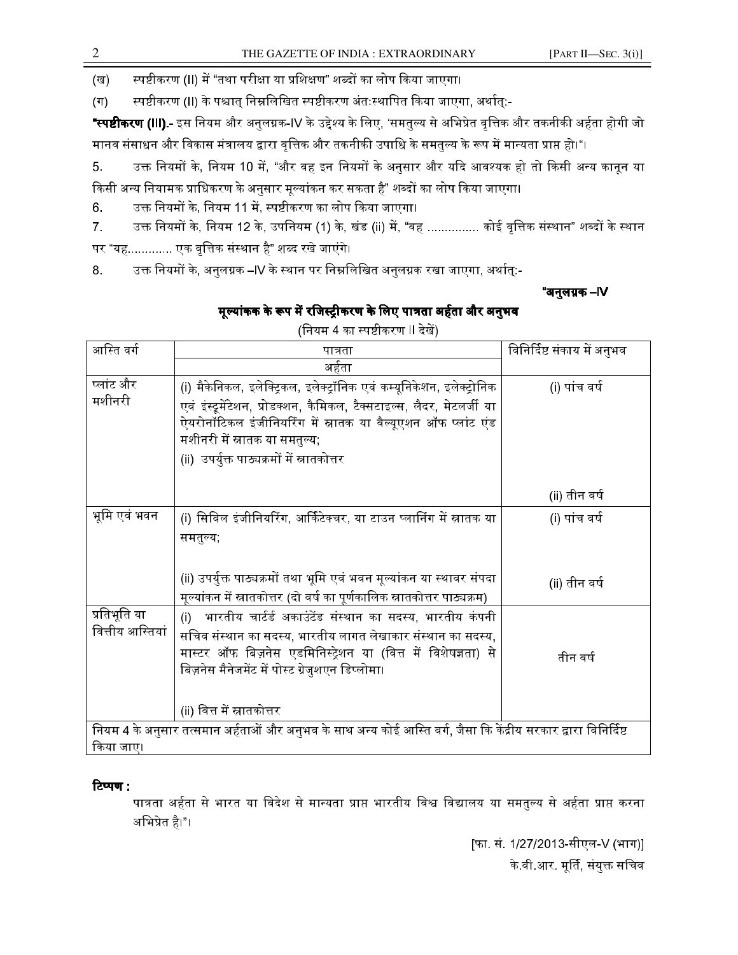स्पष्टीकरण (II) में "तथा परीक्षा या प्रशिक्षण" शब्दों का लोप किया जाएगा। (ख)

स्पष्टीकरण (II) के पश्चात् निम्नलिखित स्पष्टीकरण अंतःस्थापित किया जाएगा, अर्थात्:- $(\Pi)$ 

**"स्पष्टीकरण (III).-** इस नियम और अनुलग्नक-IV के उद्देश्य के लिए, 'समतुल्य से अभिप्रेत वृत्तिक और तकनीकी अर्हता होगी जो मानव संसाधन और विकास मंत्रालय द्वारा वृत्तिक और तकनीकी उपाधि के समतुल्य के रूप में मान्यता प्राप्त हो।"।

- उक्त नियमों के, नियम 10 में, "और वह इन नियमों के अनुसार और यदि आवश्यक हो तो किसी अन्य कानून या 5. किसी अन्य नियामक प्राधिकरण के अनुसार मूल्यांकन कर सकता है" शब्दों का लोप किया जाएगा।
- उक्त नियमों के, नियम 11 में, स्पष्टीकरण का लोप किया जाएगा। 6.
- उक्त नियमों के, नियम 12 के, उपनियम (1) के, खंड (ii) में, "वह ............... कोई वृत्तिक संस्थान" शब्दों के स्थान  $\overline{7}$ .

पर "यह............. एक वृत्तिक संस्थान है" शब्द रखे जाएंगे।

उक्त नियमों के, अनुलग्नक –IV के स्थान पर निम्नलिखित अनुलग्नक रखा जाएगा, अर्थात्:-8.

"अनुलग्नक –IV

# मूल्यांकक के रूप में रजिस्ट्रीकरण के लिए पात्रता अर्हता और अनुभव

(नियम 4 का स्पष्टीकरण II देखें)

| आस्ति वर्ग                                                                                                       | पात्रता                                                                 | विनिर्दिष्ट संकाय में अनुभव |  |  |
|------------------------------------------------------------------------------------------------------------------|-------------------------------------------------------------------------|-----------------------------|--|--|
|                                                                                                                  | अर्हता                                                                  |                             |  |  |
| प्लांट और                                                                                                        | (i) मैकेनिकल, इलेक्ट्रिकल, इलेक्ट्रॉनिक एवं कम्यूनिकेशन, इलेक्ट्रोनिक   | (i) पांच वर्ष               |  |  |
| मशीनरी                                                                                                           | एवं इंस्ट्रूमेंटेशन, प्रोडक्शन, कैमिकल, टैक्सटाइल्स, लैदर, मेटलर्जी या  |                             |  |  |
|                                                                                                                  | ऐयरोनॉटिकल इंजीनियरिंग में स्नातक या वैल्यूएशन ऑफ प्लांट एंड            |                             |  |  |
|                                                                                                                  | मशीनरी में स्नातक या समतुल्य;                                           |                             |  |  |
|                                                                                                                  | (ii)  उपर्युक्त पाठ्यक्रमों में स्नातकोत्तर                             |                             |  |  |
|                                                                                                                  |                                                                         |                             |  |  |
|                                                                                                                  |                                                                         | (ii) तीन वर्ष               |  |  |
| भूमि एवं भवन                                                                                                     | (i) सिविल इंजीनियरिंग, आर्किटेक्चर, या टाउन प्लानिंग में स्नातक या      | (i) पांच वर्ष               |  |  |
|                                                                                                                  | समतुल्य;                                                                |                             |  |  |
|                                                                                                                  |                                                                         |                             |  |  |
|                                                                                                                  | (ii) उपर्युक्त पाठ्यक्रमों तथा भूमि एवं भवन मूल्यांकन या स्थावर संपदा   | (ii) तीन वर्ष               |  |  |
|                                                                                                                  | मूल्यांकन में स्नातकोत्तर (दो वर्ष का पूर्णकालिक स्नातकोत्तर पाठ्यक्रम) |                             |  |  |
| प्रतिभूति या                                                                                                     | भारतीय चार्टर्ड अकाउंटेंड संस्थान का सदस्य, भारतीय कंपनी<br>(i)         |                             |  |  |
| वित्तीय आस्तियां                                                                                                 | सचिव संस्थान का सदस्य, भारतीय लागत लेखाकार संस्थान का सदस्य,            |                             |  |  |
|                                                                                                                  | मास्टर ऑफ बिज़नेस एडमिनिस्ट्रेशन या (वित्त में विशेषज्ञता) से           | तीन वर्ष                    |  |  |
|                                                                                                                  | बिज़नेस मैनेजमेंट में पोस्ट ग्रेजुशएन डिप्लोमा।                         |                             |  |  |
|                                                                                                                  |                                                                         |                             |  |  |
|                                                                                                                  | (ii) वित्त में स्नातकोत्तर                                              |                             |  |  |
| नियम 4 के अनुसार तत्समान अर्हताओं और अनुभव के साथ अन्य कोई आस्ति वर्ग, जैसा कि केंद्रीय सरकार द्वारा विनिर्दिष्ट |                                                                         |                             |  |  |
| किया जाए।                                                                                                        |                                                                         |                             |  |  |

## टिप्पण :

पात्रता अर्हता से भारत या विदेश से मान्यता प्राप्त भारतीय विश्व विद्यालय या समतुल्य से अर्हता प्राप्त करना अभिप्रेत है।"।

> [फा. सं. 1/27/2013-सीएल-V (भाग)] के वी आर. मूर्ति, संयुक्त सचिव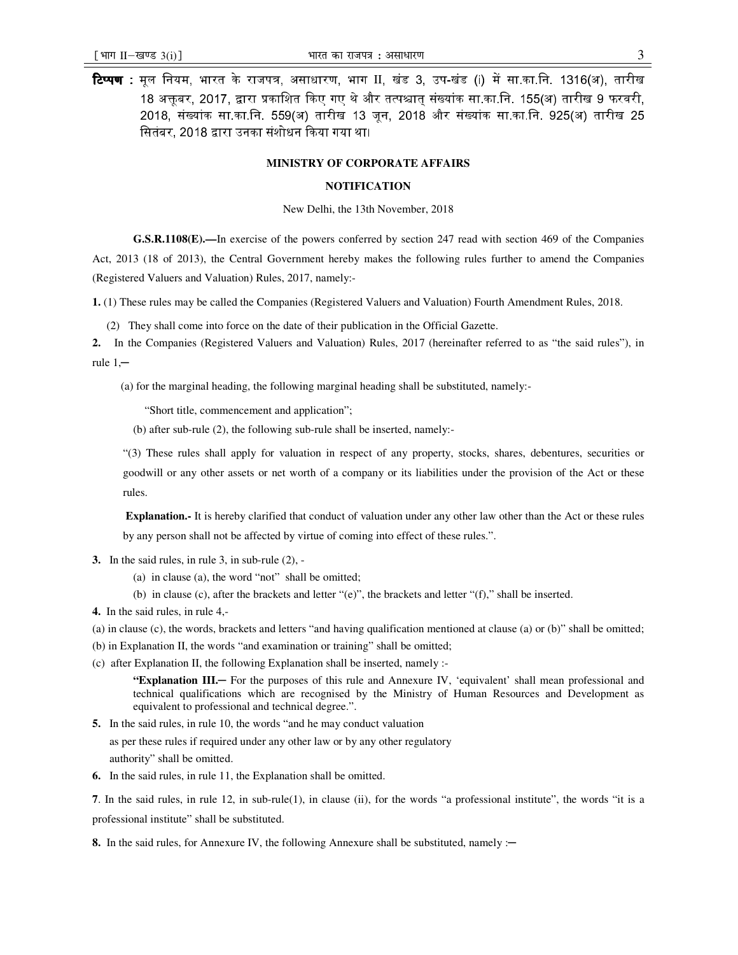**टिप्पण :** मूल नियम, भारत के राजपत्र, असाधारण, भाग II, खंड 3, उप-खंड (i) में सा.का.नि. 1316(अ), तारीख 18 अक्तबर, 2017, द्वारा प्रकाशित किए गए थे और तत्पश्चात संख्यांक सा.का.नि. 155(अ) तारीख 9 फरवरी. 2018. संख्यांक सा.का.नि. 559(अ) तारीख 13 जन. 2018 और संख्यांक सा.का.नि. 925(अ) तारीख 25 सितंबर, 2018 द्वारा उनका संशोधन किया गया था।

#### **MINISTRY OF CORPORATE AFFAIRS**

### **NOTIFICATION**

New Delhi, the 13th November, 2018

**G.S.R.1108(E).—**In exercise of the powers conferred by section 247 read with section 469 of the Companies

Act, 2013 (18 of 2013), the Central Government hereby makes the following rules further to amend the Companies (Registered Valuers and Valuation) Rules, 2017, namely:-

**1.** (1) These rules may be called the Companies (Registered Valuers and Valuation) Fourth Amendment Rules, 2018.

(2) They shall come into force on the date of their publication in the Official Gazette.

**2.** In the Companies (Registered Valuers and Valuation) Rules, 2017 (hereinafter referred to as "the said rules"), in rule  $1, -$ 

(a) for the marginal heading, the following marginal heading shall be substituted, namely:-

"Short title, commencement and application";

(b) after sub-rule (2), the following sub-rule shall be inserted, namely:-

"(3) These rules shall apply for valuation in respect of any property, stocks, shares, debentures, securities or goodwill or any other assets or net worth of a company or its liabilities under the provision of the Act or these rules.

**Explanation.-** It is hereby clarified that conduct of valuation under any other law other than the Act or these rules by any person shall not be affected by virtue of coming into effect of these rules.".

- **3.** In the said rules, in rule 3, in sub-rule (2),
	- (a) in clause (a), the word "not" shall be omitted;
	- (b) in clause (c), after the brackets and letter "(e)", the brackets and letter "(f)," shall be inserted.
- **4.** In the said rules, in rule 4,-
- (a) in clause (c), the words, brackets and letters "and having qualification mentioned at clause (a) or (b)" shall be omitted;
- (b) in Explanation II, the words "and examination or training" shall be omitted;
- (c) after Explanation II, the following Explanation shall be inserted, namely :-

**"Explanation III.**─ For the purposes of this rule and Annexure IV, 'equivalent' shall mean professional and technical qualifications which are recognised by the Ministry of Human Resources and Development as equivalent to professional and technical degree.".

- **5.** In the said rules, in rule 10, the words "and he may conduct valuation as per these rules if required under any other law or by any other regulatory authority" shall be omitted.
- **6.** In the said rules, in rule 11, the Explanation shall be omitted.

**7**. In the said rules, in rule 12, in sub-rule(1), in clause (ii), for the words "a professional institute", the words "it is a professional institute" shall be substituted.

8. In the said rules, for Annexure IV, the following Annexure shall be substituted, namely :—